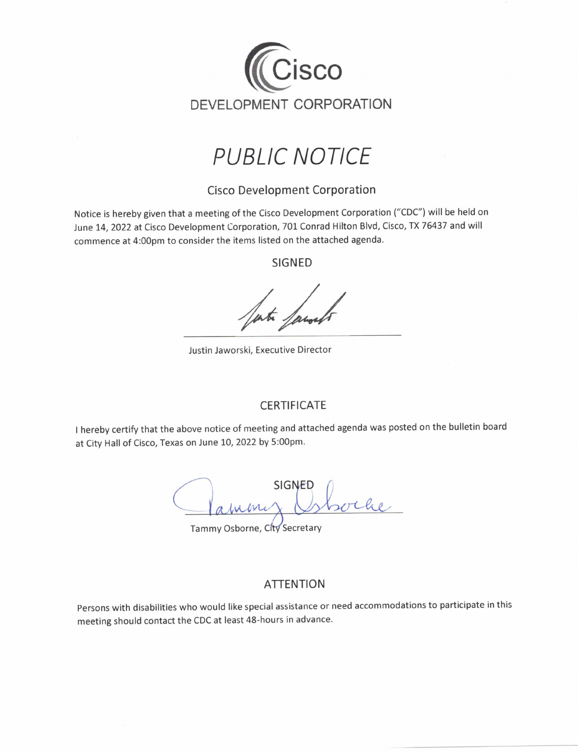

## **PUBLIC NOTICE**

### **Cisco Development Corporation**

Notice is hereby given that a meeting of the Cisco Development Corporation ("CDC") will be held on June 14, 2022 at Cisco Development Corporation, 701 Conrad Hilton Blvd, Cisco, TX 76437 and will commence at 4:00pm to consider the items listed on the attached agenda.

**SIGNED** 

Justin Jaworski, Executive Director

#### **CERTIFICATE**

I hereby certify that the above notice of meeting and attached agenda was posted on the bulletin board at City Hall of Cisco, Texas on June 10, 2022 by 5:00pm.

**SIGNED**  $\bigcup_{\mathcal{N}}$ abrini

Tammy Osborne, City Secretary

#### **ATTENTION**

Persons with disabilities who would like special assistance or need accommodations to participate in this meeting should contact the CDC at least 48-hours in advance.